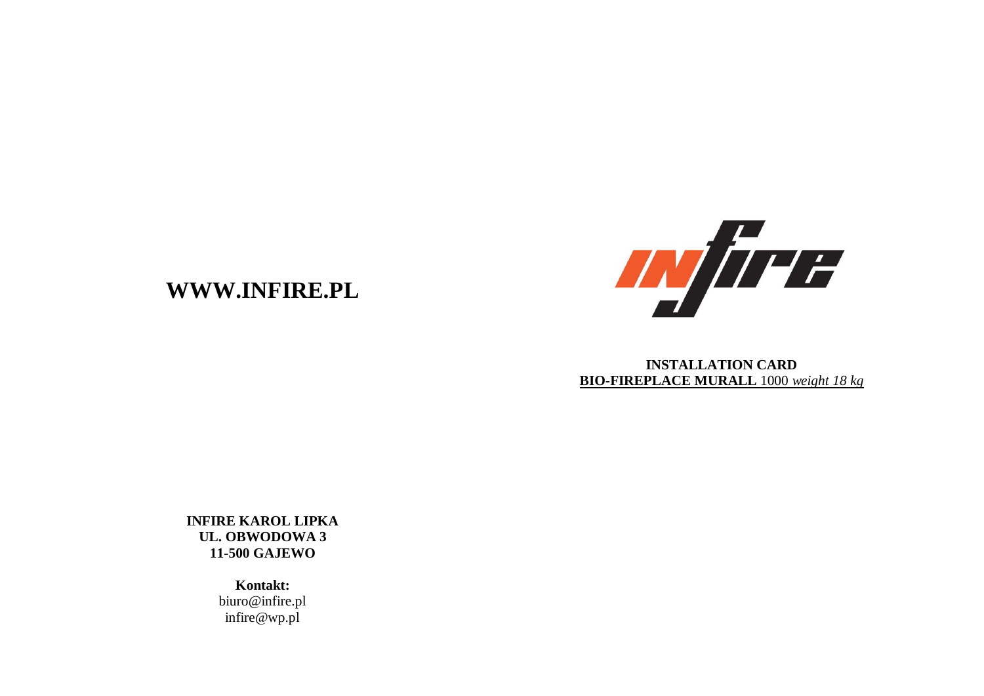

## **INSTALLATION CARD BIO-FIREPLACE MURALL** 1000 *weight 18 kg*

**INFIRE KAROL LIPKA UL. OBWODOWA 3 11-500 GAJEWO**

**WWW.INFIRE.PL**

**Kontakt:** biuro@infire.pl infire@wp.pl